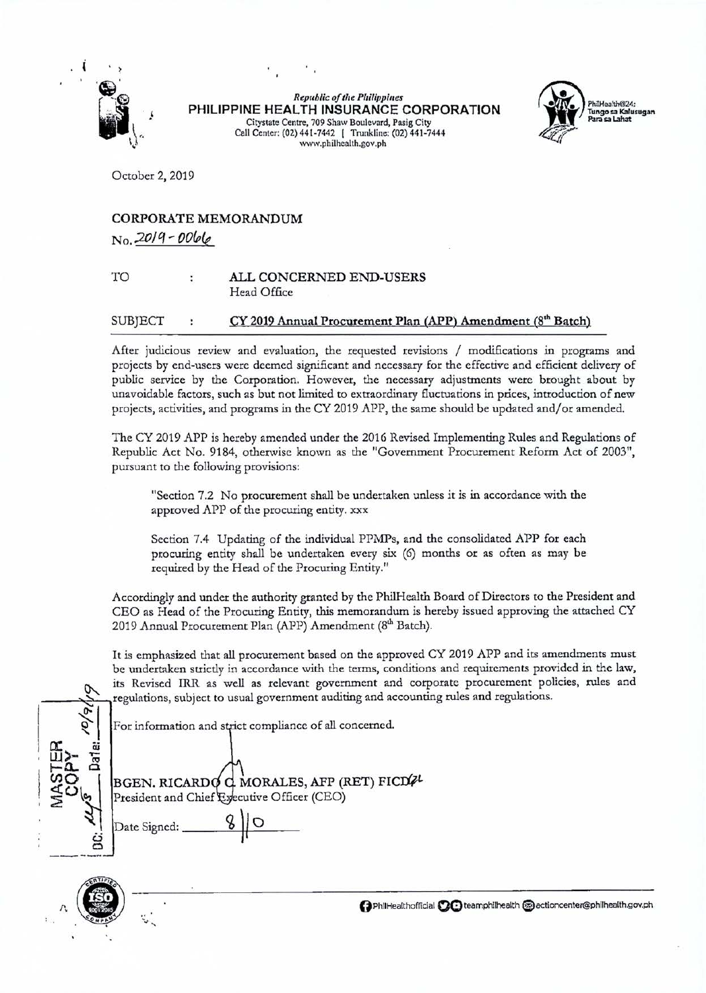

*Republic of the Philippines*  **PHILIPPINE HEALTH INSURANCE CORPORATION**  Citystate Centre, 709 Shaw Boulevard, Pasig City Call Center: (02)441-7442 I Trunkline: (02)441-7444 www. philhealth.gov. ph



October 2, 2019

## CORPORATE MEMORANDUM *No.:201q- OO&(e*

## TO ALL CONCERNED END-USERS Head Office

## $SUB|ECT$  :  $CY 2019$  Annual Procurement Plan  $(APP)$  Amendment  $(8<sup>th</sup> Batch)$

After judicious review and evaluation, the requested revisions / modifications in programs and projects by end-users were deemed significant and necessary for the effective and efficient delivery of public service by the Corporation. However, the necessary adjustments were brought about by unavoidable factors, such as but not limited to extraordinary fluctuations in prices, introduction of new projects, activities, and programs in the CY 2019 APP, the same should be updated and/or amended.

The CY 2019 APP is hereby amended under the 2016 Revised Implementing Rules and Regulations of Republic Act No. 9184, otherwise known as the "Government Procurement Reform Act of 2003", pursuant to the following provisions:

"Section 7.2 No procurement shall be undertaken unless it is in accordance with the approved APP of the procuring entity. xxx

Section 7.4 Updating of the individual PPMPs, and the consolidated APP for each procuring entity shall be undertaken every six (6) months or as often as may be required by the Head of the Procuring Entity."

Accordingly and under the authority granted by the PhilHealth Board of Directors to the President and CEO as Head of the Procuring Entity, this memorandum is hereby issued approving the attached CY 2019 Annual Procurement Plan (APP) Amendment (8<sup>th</sup> Batch).

It is emphasized that all procurement based on the approved CY 2019 APP and its amendments must be undertaken strictly in accordance with the terms, conditions and requirements provided in the law, tis Revised IRR as well as relevant government and corporate procurement policies, rules and regulations, subject to usual government auditing and accounting rules and regulations.

For information and strict compliance of all concerned.

 $\sqrt{\frac{\omega}{\epsilon}}$ I **a:** cu ' **UJ)-** <sup>~</sup>**1-0.... 0**   $\sum_{i=1}^{\infty}$  President and Chief Executive Officer (CEO)  $\sum_{i=1}^n$  Date Signed:  $\frac{8}{10}$  $\epsilon$ 

BGEN. RICARD  $C$  MORALES, AFP (RET) FICD $W$ 



**0**PhilHealthofficial **00** teamphilhealth a actioncenter@philhealth.gov.ph